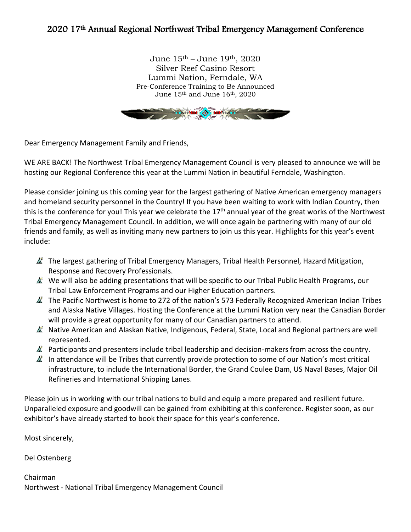### 2020 17th Annual Regional Northwest Tribal Emergency Management Conference

June 15th – June 19th, 2020 Silver Reef Casino Resort Lummi Nation, Ferndale, WA Pre-Conference Training to Be Announced June 15th and June 16th, 2020



Dear Emergency Management Family and Friends,

WE ARE BACK! The Northwest Tribal Emergency Management Council is very pleased to announce we will be hosting our Regional Conference this year at the Lummi Nation in beautiful Ferndale, Washington.

Please consider joining us this coming year for the largest gathering of Native American emergency managers and homeland security personnel in the Country! If you have been waiting to work with Indian Country, then this is the conference for you! This year we celebrate the 17<sup>th</sup> annual year of the great works of the Northwest Tribal Emergency Management Council. In addition, we will once again be partnering with many of our old friends and family, as well as inviting many new partners to join us this year. Highlights for this year's event include:

- $\triangle$  The largest gathering of Tribal Emergency Managers, Tribal Health Personnel, Hazard Mitigation, Response and Recovery Professionals.
- $\triangle$  We will also be adding presentations that will be specific to our Tribal Public Health Programs, our Tribal Law Enforcement Programs and our Higher Education partners.
- $\triangle$  The Pacific Northwest is home to 272 of the nation's 573 Federally Recognized American Indian Tribes and Alaska Native Villages. Hosting the Conference at the Lummi Nation very near the Canadian Border will provide a great opportunity for many of our Canadian partners to attend.
- K Native American and Alaskan Native, Indigenous, Federal, State, Local and Regional partners are well represented.
- $\mathbb{A}^*$  Participants and presenters include tribal leadership and decision-makers from across the country.
- In attendance will be Tribes that currently provide protection to some of our Nation's most critical infrastructure, to include the International Border, the Grand Coulee Dam, US Naval Bases, Major Oil Refineries and International Shipping Lanes.

Please join us in working with our tribal nations to build and equip a more prepared and resilient future. Unparalleled exposure and goodwill can be gained from exhibiting at this conference. Register soon, as our exhibitor's have already started to book their space for this year's conference.

Most sincerely,

Del Ostenberg

Chairman Northwest - National Tribal Emergency Management Council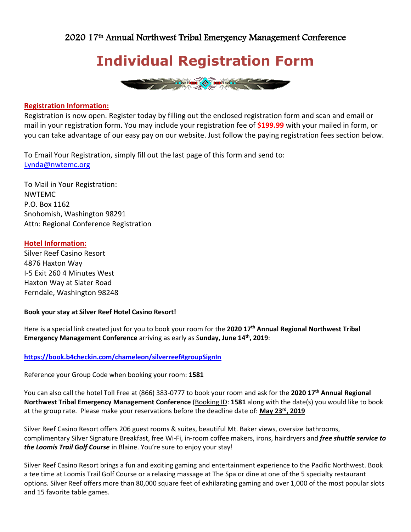### **Individual Registration Form**



#### **Registration Information:**

Registration is now open. Register today by filling out the enclosed registration form and scan and email or mail in your registration form. You may include your registration fee of **\$199.99** with your mailed in form, or you can take advantage of our easy pay on our website. Just follow the paying registration fees section below.

To Email Your Registration, simply fill out the last page of this form and send to: [Lynda@nwtemc.org](mailto:Lynda@nwtemc.org)

To Mail in Your Registration: NWTEMC P.O. Box 1162 Snohomish, Washington 98291 Attn: Regional Conference Registration

#### **Hotel Information:**

Silver Reef Casino Resort 4876 Haxton Way I-5 Exit 260 4 Minutes West Haxton Way at Slater Road Ferndale, Washington 98248

#### **Book your stay at Silver Reef Hotel Casino Resort!**

Here is a special link created just for you to book your room for the **2020 17th Annual Regional Northwest Tribal Emergency Management Conference** arriving as early as S**unday, June 14th, 2019**:

#### **<https://book.b4checkin.com/chameleon/silverreef#groupSignIn>**

Reference your Group Code when booking your room: **1581**

You can also call the hotel Toll Free at (866) 383-0777 to book your room and ask for the **2020 17th Annual Regional Northwest Tribal Emergency Management Conference** (Booking ID: **1581** along with the date(s) you would like to book at the group rate. Please make your reservations before the deadline date of: **May 23rd, 2019**

Silver Reef Casino Resort offers 206 guest rooms & suites, beautiful Mt. Baker views, oversize bathrooms, complimentary Silver Signature Breakfast, free Wi-Fi, in-room coffee makers, irons, hairdryers and *free shuttle service to the Loomis Trail Golf Course* in Blaine. You're sure to enjoy your stay!

Silver Reef Casino Resort brings a fun and exciting gaming and entertainment experience to the Pacific Northwest. Book a tee time at Loomis Trail Golf Course or a relaxing massage at The Spa or dine at one of the 5 specialty restaurant options. Silver Reef offers more than 80,000 square feet of exhilarating gaming and over 1,000 of the most popular slots and 15 favorite table games.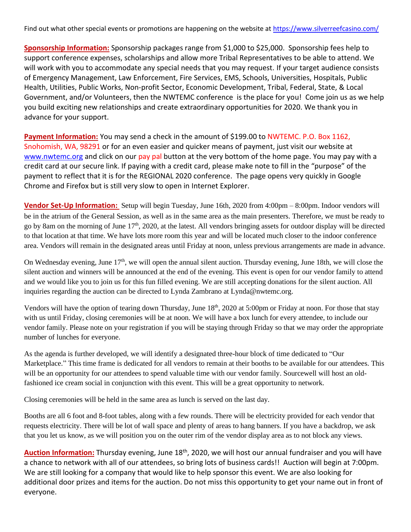Find out what other special events or promotions are happening on the website at<https://www.silverreefcasino.com/>

**Sponsorship Information:** Sponsorship packages range from \$1,000 to \$25,000. Sponsorship fees help to support conference expenses, scholarships and allow more Tribal Representatives to be able to attend. We will work with you to accommodate any special needs that you may request. If your target audience consists of Emergency Management, Law Enforcement, Fire Services, EMS, Schools, Universities, Hospitals, Public Health, Utilities, Public Works, Non-profit Sector, Economic Development, Tribal, Federal, State, & Local Government, and/or Volunteers, then the NWTEMC conference is the place for you! Come join us as we help you build exciting new relationships and create extraordinary opportunities for 2020. We thank you in advance for your support.

**Payment Information:** You may send a check in the amount of \$199.00 to NWTEMC. P.O. Box 1162, Snohomish, WA, 98291 or for an even easier and quicker means of payment, just visit our website at [www.nwtemc.org](http://www.nwtemc.org/) and click on our pay pal button at the very bottom of the home page. You may pay with a credit card at our secure link. If paying with a credit card, please make note to fill in the "purpose" of the payment to reflect that it is for the REGIONAL 2020 conference. The page opens very quickly in Google Chrome and Firefox but is still very slow to open in Internet Explorer.

**Vendor Set-Up Information:** Setup will begin Tuesday, June 16th, 2020 from 4:00pm – 8:00pm. Indoor vendors will be in the atrium of the General Session, as well as in the same area as the main presenters. Therefore, we must be ready to go by 8am on the morning of June 17<sup>th</sup>, 2020, at the latest. All vendors bringing assets for outdoor display will be directed to that location at that time. We have lots more room this year and will be located much closer to the indoor conference area. Vendors will remain in the designated areas until Friday at noon, unless previous arrangements are made in advance.

On Wednesday evening, June 17<sup>th</sup>, we will open the annual silent auction. Thursday evening, June 18th, we will close the silent auction and winners will be announced at the end of the evening. This event is open for our vendor family to attend and we would like you to join us for this fun filled evening. We are still accepting donations for the silent auction. All inquiries regarding the auction can be directed to Lynda Zambrano at Lynda@nwtemc.org.

Vendors will have the option of tearing down Thursday, June 18<sup>th</sup>, 2020 at 5:00pm or Friday at noon. For those that stay with us until Friday, closing ceremonies will be at noon. We will have a box lunch for every attendee, to include our vendor family. Please note on your registration if you will be staying through Friday so that we may order the appropriate number of lunches for everyone.

As the agenda is further developed, we will identify a designated three-hour block of time dedicated to "Our Marketplace." This time frame is dedicated for all vendors to remain at their booths to be available for our attendees. This will be an opportunity for our attendees to spend valuable time with our vendor family. Sourcewell will host an oldfashioned ice cream social in conjunction with this event. This will be a great opportunity to network.

Closing ceremonies will be held in the same area as lunch is served on the last day.

Booths are all 6 foot and 8-foot tables, along with a few rounds. There will be electricity provided for each vendor that requests electricity. There will be lot of wall space and plenty of areas to hang banners. If you have a backdrop, we ask that you let us know, as we will position you on the outer rim of the vendor display area as to not block any views.

Auction Information: Thursday evening, June 18<sup>th</sup>, 2020, we will host our annual fundraiser and you will have a chance to network with all of our attendees, so bring lots of business cards!! Auction will begin at 7:00pm. We are still looking for a company that would like to help sponsor this event. We are also looking for additional door prizes and items for the auction. Do not miss this opportunity to get your name out in front of everyone.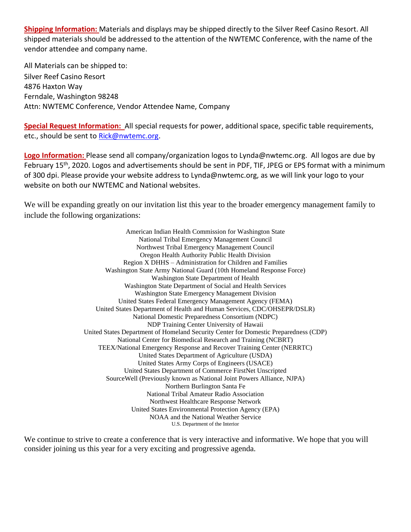**Shipping Information:** Materials and displays may be shipped directly to the Silver Reef Casino Resort. All shipped materials should be addressed to the attention of the NWTEMC Conference, with the name of the vendor attendee and company name.

All Materials can be shipped to: Silver Reef Casino Resort 4876 Haxton Way Ferndale, Washington 98248 Attn: NWTEMC Conference, Vendor Attendee Name, Company

**Special Request Information:** All special requests for power, additional space, specific table requirements, etc., should be sent to [Rick@nwtemc.org.](mailto:Rick@nwtemc.org)

**Logo Information:** Please send all company/organization logos to Lynda@nwtemc.org. All logos are due by February 15<sup>th</sup>, 2020. Logos and advertisements should be sent in PDF, TIF, JPEG or EPS format with a minimum of 300 dpi. Please provide your website address to Lynda@nwtemc.org, as we will link your logo to your website on both our NWTEMC and National websites.

We will be expanding greatly on our invitation list this year to the broader emergency management family to include the following organizations:

> American Indian Health Commission for Washington State National Tribal Emergency Management Council Northwest Tribal Emergency Management Council Oregon Health Authority Public Health Division Region X DHHS – Administration for Children and Families Washington State Army National Guard (10th Homeland Response Force) Washington State Department of Health Washington State Department of Social and Health Services Washington State Emergency Management Division United States Federal Emergency Management Agency (FEMA) United States Department of Health and Human Services, CDC/OHSEPR/DSLR) National Domestic Preparedness Consortium (NDPC) NDP Training Center University of Hawaii United States Department of Homeland Security Center for Domestic Preparedness (CDP) National Center for Biomedical Research and Training (NCBRT) TEEX/National Emergency Response and Recover Training Center (NERRTC) United States Department of Agriculture (USDA) United States Army Corps of Engineers (USACE) United States Department of Commerce FirstNet Unscripted SourceWell (Previously known as National Joint Powers Alliance, NJPA) Northern Burlington Santa Fe National Tribal Amateur Radio Association Northwest Healthcare Response Network United States Environmental Protection Agency (EPA) NOAA and the National Weather Service U.S. Department of the Interior

We continue to strive to create a conference that is very interactive and informative. We hope that you will consider joining us this year for a very exciting and progressive agenda.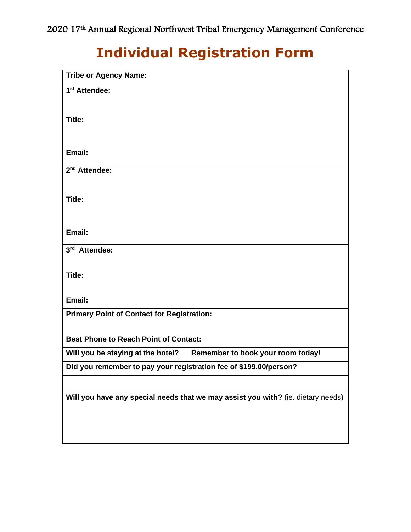# **Individual Registration Form**

| <b>Tribe or Agency Name:</b>                                                     |
|----------------------------------------------------------------------------------|
| 1 <sup>st</sup> Attendee:                                                        |
|                                                                                  |
| Title:                                                                           |
|                                                                                  |
| Email:                                                                           |
|                                                                                  |
| 2 <sup>nd</sup> Attendee:                                                        |
|                                                                                  |
| Title:                                                                           |
|                                                                                  |
| Email:                                                                           |
| 3rd Attendee:                                                                    |
|                                                                                  |
| Title:                                                                           |
|                                                                                  |
| Email:                                                                           |
| <b>Primary Point of Contact for Registration:</b>                                |
|                                                                                  |
| <b>Best Phone to Reach Point of Contact:</b>                                     |
| Remember to book your room today!<br>Will you be staying at the hotel?           |
| Did you remember to pay your registration fee of \$199.00/person?                |
|                                                                                  |
| Will you have any special needs that we may assist you with? (ie. dietary needs) |
|                                                                                  |
|                                                                                  |
|                                                                                  |